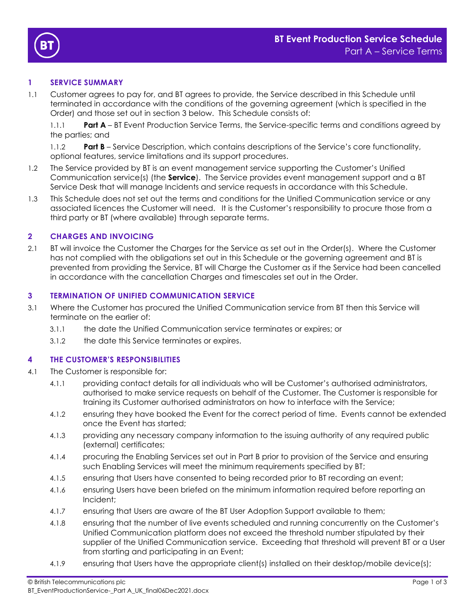



## **1 SERVICE SUMMARY**

1.1 Customer agrees to pay for, and BT agrees to provide, the Service described in this Schedule until terminated in accordance with the conditions of the governing agreement (which is specified in the Order) and those set out in section [3](#page-0-0) below. This Schedule consists of:

1.1.1 **Part A** – BT Event Production Service Terms, the Service-specific terms and conditions agreed by the parties; and

1.1.2 **Part B** – Service Description, which contains descriptions of the Service's core functionality, optional features, service limitations and its support procedures.

- 1.2 The Service provided by BT is an event management service supporting the Customer's Unified Communication service(s) (the **Service**). The Service provides event management support and a BT Service Desk that will manage Incidents and service requests in accordance with this Schedule.
- 1.3 This Schedule does not set out the terms and conditions for the Unified Communication service or any associated licences the Customer will need. It is the Customer's responsibility to procure those from a third party or BT (where available) through separate terms.

### **2 CHARGES AND INVOICING**

2.1 BT will invoice the Customer the Charges for the Service as set out in the Order(s). Where the Customer has not complied with the obligations set out in this Schedule or the governing agreement and BT is prevented from providing the Service, BT will Charge the Customer as if the Service had been cancelled in accordance with the cancellation Charges and timescales set out in the Order.

### <span id="page-0-0"></span>**3 TERMINATION OF UNIFIED COMMUNICATION SERVICE**

- 3.1 Where the Customer has procured the Unified Communication service from BT then this Service will terminate on the earlier of:
	- 3.1.1 the date the Unified Communication service terminates or expires; or
	- 3.1.2 the date this Service terminates or expires.

### **4 THE CUSTOMER'S RESPONSIBILITIES**

- 4.1 The Customer is responsible for:
	- 4.1.1 providing contact details for all individuals who will be Customer's authorised administrators, authorised to make service requests on behalf of the Customer. The Customer is responsible for training its Customer authorised administrators on how to interface with the Service;
	- 4.1.2 ensuring they have booked the Event for the correct period of time. Events cannot be extended once the Event has started;
	- 4.1.3 providing any necessary company information to the issuing authority of any required public (external) certificates;
	- 4.1.4 procuring the Enabling Services set out in Part B prior to provision of the Service and ensuring such Enabling Services will meet the minimum requirements specified by BT;
	- 4.1.5 ensuring that Users have consented to being recorded prior to BT recording an event;
	- 4.1.6 ensuring Users have been briefed on the minimum information required before reporting an Incident;
	- 4.1.7 ensuring that Users are aware of the BT User Adoption Support available to them;
	- 4.1.8 ensuring that the number of live events scheduled and running concurrently on the Customer's Unified Communication platform does not exceed the threshold number stipulated by their supplier of the Unified Communication service. Exceeding that threshold will prevent BT or a User from starting and participating in an Event;
	- 4.1.9 ensuring that Users have the appropriate client(s) installed on their desktop/mobile device(s);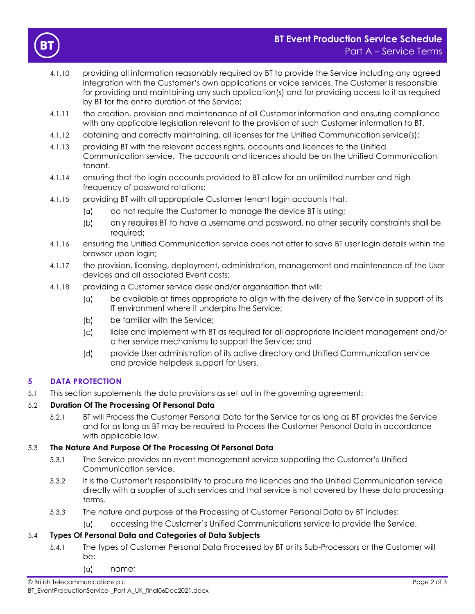



- 4.1.10 providing all information reasonably required by BT to provide the Service including any agreed integration with the Customer's own applications or voice services. The Customer is responsible for providing and maintaining any such application(s) and for providing access to it as required by BT for the entire duration of the Service;
- 4.1.11 the creation, provision and maintenance of all Customer information and ensuring compliance with any applicable legislation relevant to the provision of such Customer information to BT.
- 4.1.12 obtaining and correctly maintaining, all licenses for the Unified Communication service(s);
- 4.1.13 providing BT with the relevant access rights, accounts and licences to the Unified Communication service. The accounts and licences should be on the Unified Communication tenant.
- 4.1.14 ensuring that the login accounts provided to BT allow for an unlimited number and high frequency of password rotations;
- 4.1.15 providing BT with all appropriate Customer tenant login accounts that:
	- do not require the Customer to manage the device BT is using;  $(\alpha)$
	- only requires BT to have a username and password, no other security constraints shall be  $(b)$ required;
- 4.1.16 ensuring the Unified Communication service does not offer to save BT user login details within the browser upon login;
- 4.1.17 the provision, licensing, deployment, administration, management and maintenance of the User devices and all associated Event costs;
- 4.1.18 providing a Customer service desk and/or organsaition that will:
	- be available at times appropriate to align with the delivery of the Service in support of its  $(a)$ IT environment where it underpins the Service;
	- $(b)$ be familiar with the Service;
	- liaise and implement with BT as required for all appropriate Incident management and/or  $(c)$ other service mechanisms to support the Service; and
	- $(d)$ provide User administration of its active directory and Unified Communication service and provide helpdesk support for Users.

### **5 DATA PROTECTION**

5.1 This section supplements the data provisions as set out in the governing agreement:

#### 5.2 **Duration Of The Processing Of Personal Data**

5.2.1 BT will Process the Customer Personal Data for the Service for as long as BT provides the Service and for as long as BT may be required to Process the Customer Personal Data in accordance with applicable law.

#### 5.3 **The Nature And Purpose Of The Processing Of Personal Data**

- 5.3.1 The Service provides an event management service supporting the Customer's Unified Communication service.
- 5.3.2 It is the Customer's responsibility to procure the licences and the Unified Communication service directly with a supplier of such services and that service is not covered by these data processing terms.
- 5.3.3 The nature and purpose of the Processing of Customer Personal Data by BT includes:
	- accessing the Customer's Unified Communications service to provide the Service.  $(a)$

#### 5.4 **Types Of Personal Data and Categories of Data Subjects**

- 5.4.1 The types of Customer Personal Data Processed by BT or its Sub-Processors or the Customer will be:
	- $(\alpha)$ name;